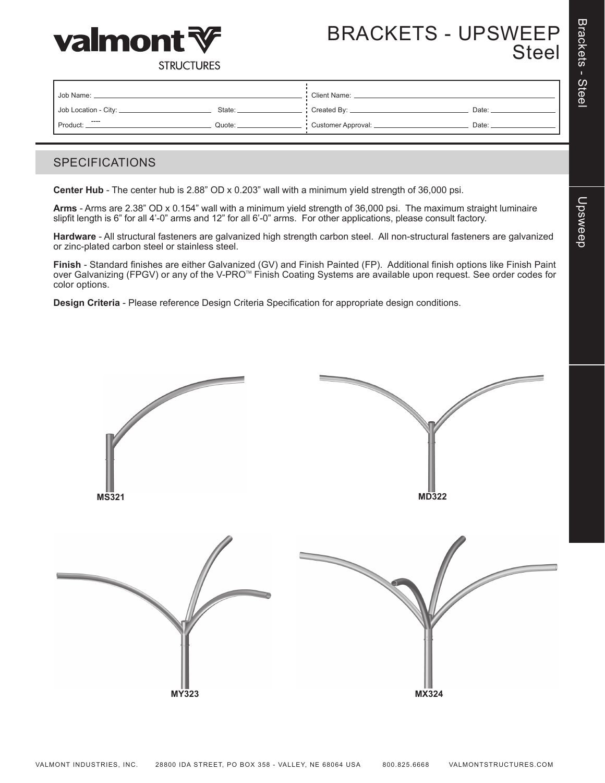



# BRACKETS - UPSWEEP Steel

**STRUCTURES** 

| Job Name:              |        | <b>Client Name:</b> |       |  |
|------------------------|--------|---------------------|-------|--|
| Job Location - City: _ | State: | Created By: __      | Date: |  |
| ----<br>Product:       | Quote: | Customer Approval:  | Date: |  |

### SPECIFICATIONS

**Center Hub** - The center hub is 2.88" OD x 0.203" wall with a minimum yield strength of 36,000 psi.

**Arms** - Arms are 2.38" OD x 0.154" wall with a minimum yield strength of 36,000 psi. The maximum straight luminaire slipfit length is 6" for all 4'-0" arms and 12" for all 6'-0" arms. For other applications, please consult factory.

**Hardware** - All structural fasteners are galvanized high strength carbon steel. All non-structural fasteners are galvanized or zinc-plated carbon steel or stainless steel.

**Finish** - Standard finishes are either Galvanized (GV) and Finish Painted (FP). Additional finish options like Finish Paint over Galvanizing (FPGV) or any of the V-PRO<sup>™</sup> Finish Coating Systems are available upon request. See order codes for color options.

**Design Criteria** - Please reference Design Criteria Specification for appropriate design conditions.